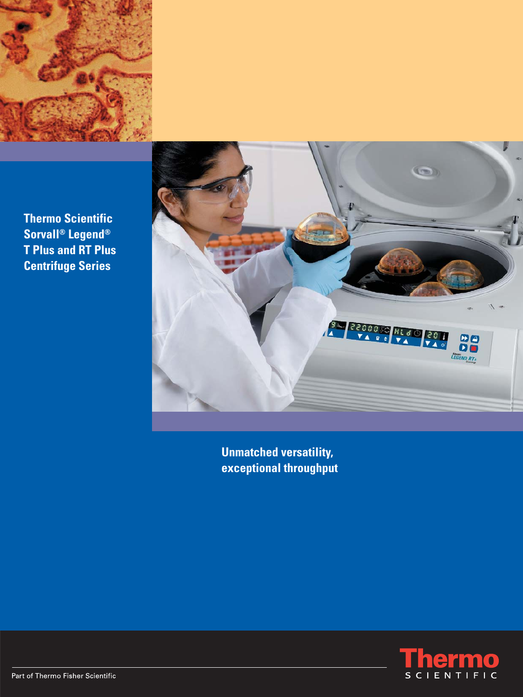

**Thermo Scientific Sorvall® Legend® T Plus and RT Plus Centrifuge Series**



**Unmatched versatility, exceptional throughput**

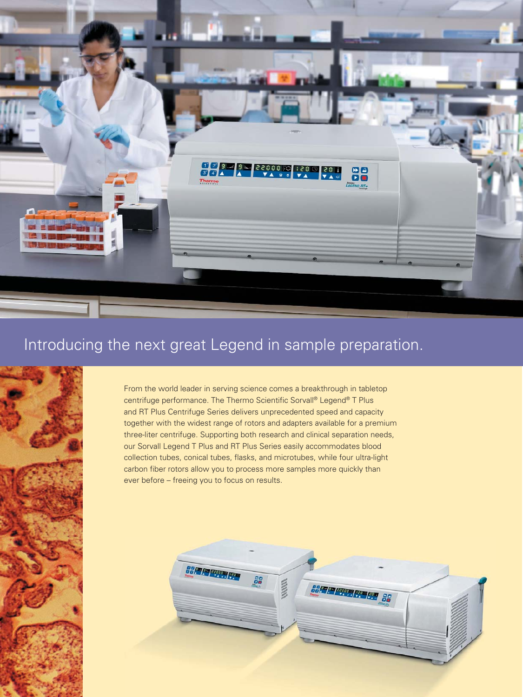

# Introducing the next great Legend in sample preparation.



From the world leader in serving science comes a breakthrough in tabletop centrifuge performance. The Thermo Scientific Sorvall® Legend® T Plus and RT Plus Centrifuge Series delivers unprecedented speed and capacity together with the widest range of rotors and adapters available for a premium three-liter centrifuge. Supporting both research and clinical separation needs, our Sorvall Legend T Plus and RT Plus Series easily accommodates blood collection tubes, conical tubes, flasks, and microtubes, while four ultra-light carbon fiber rotors allow you to process more samples more quickly than ever before – freeing you to focus on results.

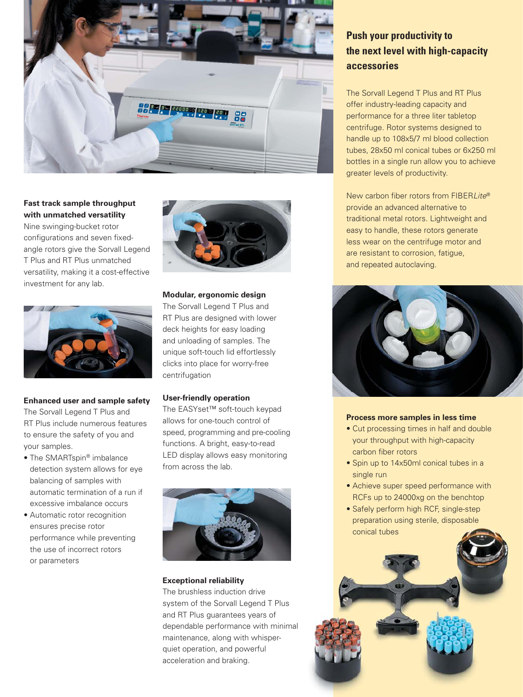

**Fast track sample throughput with unmatched versatility** Nine swinging-bucket rotor configurations and seven fixedangle rotors give the Sorvall Legend T Plus and RT Plus unmatched versatility, making it a cost-effective investment for any lab.



## **Enhanced user and sample safety**

The Sorvall Legend T Plus and RT Plus include numerous features to ensure the safety of you and your samples.

- The SMARTspin® imbalance detection system allows for eye balancing of samples with automatic termination of a run if excessive imbalance occurs
- Automatic rotor recognition ensures precise rotor performance while preventing the use of incorrect rotors or parameters



## **Modular, ergonomic design**

The Sorvall Legend T Plus and RT Plus are designed with lower deck heights for easy loading and unloading of samples. The unique soft-touch lid effortlessly clicks into place for worry-free centrifugation

## **User-friendly operation**

The EASYset™ soft-touch keypad allows for one-touch control of speed, programming and pre-cooling functions. A bright, easy-to-read LED display allows easy monitoring from across the lab.



#### **Exceptional reliability**

The brushless induction drive system of the Sorvall Legend T Plus and RT Plus guarantees years of dependable performance with minimal maintenance, along with whisperquiet operation, and powerful acceleration and braking.

# **Push your productivity to the next level with high-capacity accessories**

The Sorvall Legend T Plus and RT Plus offer industry-leading capacity and performance for a three liter tabletop centrifuge. Rotor systems designed to handle up to 108x5/7 ml blood collection tubes, 28x50 ml conical tubes or 6x250 ml bottles in a single run allow you to achieve greater levels of productivity.

New carbon fiber rotors from FIBERI ite® provide an advanced alternative to traditional metal rotors. Lightweight and easy to handle, these rotors generate less wear on the centrifuge motor and are resistant to corrosion, fatigue, and repeated autoclaving.



#### **Process more samples in less time**

- Cut processing times in half and double your throughput with high-capacity carbon fiber rotors
- Spin up to 14x50ml conical tubes in a single run
- Achieve super speed performance with RCFs up to 24000xg on the benchtop
- Safely perform high RCF, single-step preparation using sterile, disposable conical tubes

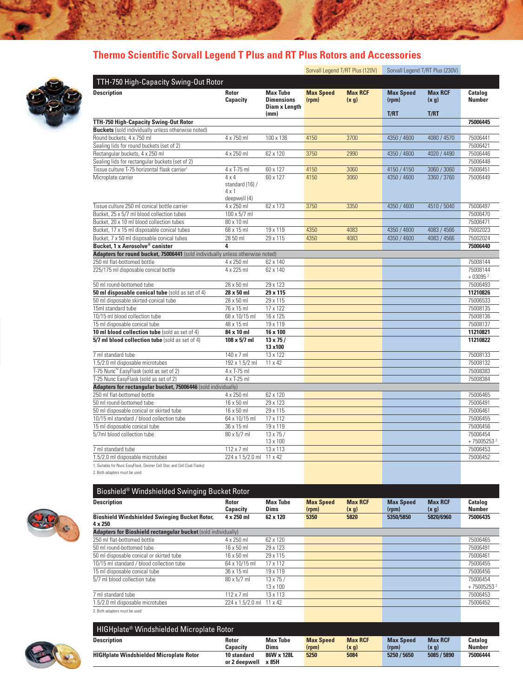# **Thermo Scientific Sorvall Legend T Plus and RT Plus Rotors and Accessories**



|                                                                                |                                                                 |                                                              |                           | Sorvall Legend T/RT Plus (120V) |                           | Sorvall Legend T/RT Plus (230V) |                                      |
|--------------------------------------------------------------------------------|-----------------------------------------------------------------|--------------------------------------------------------------|---------------------------|---------------------------------|---------------------------|---------------------------------|--------------------------------------|
| TTH-750 High-Capacity Swing-Out Rotor                                          |                                                                 |                                                              |                           |                                 |                           |                                 |                                      |
| <b>Description</b>                                                             | <b>Rotor</b><br>Capacity                                        | <b>Max Tube</b><br><b>Dimensions</b><br><b>Diam x Length</b> | <b>Max Speed</b><br>(rpm) | <b>Max RCF</b><br>(x, g)        | <b>Max Speed</b><br>(rpm) | <b>Max RCF</b><br>(x g)         | Catalog<br><b>Number</b>             |
|                                                                                |                                                                 | (mm)                                                         |                           |                                 | T/RT                      | T/RT                            |                                      |
| TTH-750 High-Capacity Swing-Out Rotor                                          |                                                                 |                                                              |                           |                                 |                           |                                 | 75006445                             |
| <b>Buckets</b> (sold individually unless otherwise noted)                      |                                                                 |                                                              |                           |                                 |                           |                                 |                                      |
| Round buckets, 4 x 750 ml                                                      | 4 x 750 ml                                                      | 100 x 136                                                    | 4150                      | 3700                            | 4350 / 4600               | 4080 / 4570                     | 75006441                             |
| Sealing lids for round buckets (set of 2)                                      |                                                                 |                                                              |                           |                                 |                           |                                 | 75006421                             |
| Rectangular buckets, 4 x 250 ml                                                | 4 x 250 ml                                                      | 62 x 120                                                     | 3750                      | 2990                            | 4350 / 4600               | 4020 / 4490                     | 75006446                             |
| Sealing lids for rectangular buckets (set of 2)                                |                                                                 |                                                              |                           |                                 |                           |                                 | 75006448                             |
| Tissue culture T-75 horizontal flask carrier <sup>1</sup>                      | 4 x T-75 ml                                                     | 60 x 127                                                     | 4150                      | 3060                            | 4150 / 4150               | 3060 / 3060                     | 75006451                             |
| Microplate carrier                                                             | $4 \times 4$<br>standard (16) /<br>$4 \times 1$<br>deepwell (4) | 60 x 127                                                     | 4150                      | 3060                            | 4350 / 4600               | 3360 / 3760                     | 75006449                             |
| Tissue culture 250 ml conical bottle carrier                                   | 4 x 250 ml                                                      | 62 x 173                                                     | 3750                      | 3350                            | 4350 / 4600               | 4510 / 5040                     | 75006497                             |
| Bucket, 25 x 5/7 ml blood collection tubes                                     | $100 \times 5/7$ ml                                             |                                                              |                           |                                 |                           |                                 | 75006470                             |
| Bucket, 20 x 10 ml blood collection tubes                                      | 80 x 10 ml                                                      |                                                              |                           |                                 |                           |                                 | 75006471                             |
| Bucket, 17 x 15 ml disposable conical tubes                                    | 68 x 15 ml                                                      | 19 x 119                                                     | 4350                      | 4083                            | 4350 / 4600               | 4083 / 4566                     | 75002023                             |
| Bucket, 7 x 50 ml disposable conical tubes                                     | 28 50 ml                                                        | 29 x 115                                                     | 4350                      | 4083                            | 4350 / 4600               | 4083 / 4566                     | 75002024                             |
| Bucket. 1 x Aerosolve® canister                                                | 4                                                               |                                                              |                           |                                 |                           |                                 | 75006440                             |
| Adapters for round bucket, 75006441 (sold individually unless otherwise noted) |                                                                 |                                                              |                           |                                 |                           |                                 |                                      |
| 250 ml flat-bottomed bottle                                                    | 4 x 250 ml                                                      | 62 x 140                                                     |                           |                                 |                           |                                 | 75008144                             |
| 225/175 ml disposable conical bottle                                           | 4 x 225 ml                                                      | 62 x 140                                                     |                           |                                 |                           |                                 | 75008144                             |
|                                                                                |                                                                 |                                                              |                           |                                 |                           |                                 | $+030952$                            |
| 50 ml round-bottomed tube                                                      | 28 x 50 ml                                                      | 29 x 123                                                     |                           |                                 |                           |                                 | 75006493                             |
| 50 ml disposable conical tube (sold as set of 4)                               | 28 x 50 ml                                                      | 29 x 115                                                     |                           |                                 |                           |                                 | 11210826                             |
| 50 ml disposable skirted-conical tube                                          | 28 x 50 ml                                                      | 29 x 115                                                     |                           |                                 |                           |                                 | 75006533                             |
| 15ml standard tube                                                             | 76 x 15 ml                                                      | 17 x 122                                                     |                           |                                 |                           |                                 | 75008135                             |
| 10/15 ml blood collection tube                                                 | 68 x 10/15 ml                                                   | 16 x 125                                                     |                           |                                 |                           |                                 | 75008136                             |
| 15 ml disposable conical tube                                                  | 48 x 15 ml                                                      | 19 x 119                                                     |                           |                                 |                           |                                 | 75008137                             |
| 10 ml blood collection tube (sold as set of 4)                                 | $84 \times 10$ ml                                               | 16 x 100                                                     |                           |                                 |                           |                                 | 11210821                             |
| 5/7 ml blood collection tube (sold as set of 4)                                | $108 \times 5/7$ ml                                             | $13 \times 75/$<br>13 x 100                                  |                           |                                 |                           |                                 | 11210822                             |
| 7 ml standard tube                                                             | 140 x 7 ml                                                      | 13 x 122                                                     |                           |                                 |                           |                                 | 75008133                             |
| 1.5/2.0 ml disposable microtubes                                               | 192 x 1.5/2 ml                                                  | 11 x 42                                                      |                           |                                 |                           |                                 | 75008132                             |
| T-75 Nunc <sup>™</sup> EasyFlask (sold as set of 2)                            | 4 x T-75 ml                                                     |                                                              |                           |                                 |                           |                                 | 75008383                             |
| T-25 Nunc EasyFlask (sold as set of 2)                                         | 4 x T-25 ml                                                     |                                                              |                           |                                 |                           |                                 | 75008384                             |
| Adapters for rectangular bucket, 75006446 (sold individually)                  |                                                                 |                                                              |                           |                                 |                           |                                 |                                      |
| 250 ml flat-bottomed bottle                                                    | 4 x 250 ml                                                      | 62 x 120                                                     |                           |                                 |                           |                                 | 75006465                             |
| 50 ml round-bottomed tube                                                      | 16 x 50 ml                                                      | 29 x 123                                                     |                           |                                 |                           |                                 | 75006491                             |
| 50 ml disposable conical or skirted tube                                       | 16 x 50 ml                                                      | 29 x 115                                                     |                           |                                 |                           |                                 | 75006461                             |
| 10/15 ml standard / blood collection tube                                      | 64 x 10/15 ml                                                   | 17 x 112                                                     |                           |                                 |                           |                                 | 75006455                             |
| 15 ml disposable conical tube                                                  | 36 x 15 ml                                                      | 19 x 119                                                     |                           |                                 |                           |                                 | 75006456                             |
| 5/7ml blood collection tube                                                    | 80 x 5/7 ml                                                     | $13 \times 75/$<br>13 x 100                                  |                           |                                 |                           |                                 | 75006454<br>$+75005253$ <sup>2</sup> |
| 7 ml standard tube                                                             | 112 x 7 ml                                                      | 13 x 113                                                     |                           |                                 |                           |                                 | 75006453                             |
| 1.5/2.0 ml disposable microtubes                                               | 224 x 1.5/2.0 ml                                                | 11 x 42                                                      |                           |                                 |                           |                                 | 75006452                             |
| 1. Suitable for Nunc EasyFlask, Greiner Cell Star, and Cell Coat Flasks)       |                                                                 |                                                              |                           |                                 |                           |                                 |                                      |
| 2. Both adapters must be used                                                  |                                                                 |                                                              |                           |                                 |                           |                                 |                                      |



Bioshield® Windshielded Swinging Bucket Rotor **Description Rotor Max Tube Max Speed Max RCF Max Speed Max RCF Catalog Capacity Dims (rpm) (x g) (rpm) (x g) Number Bioshield Windshielded Swinging Bucket Rotor, 4 x 250 ml 62 x 120 5350 5820 5350/5850 5820/6960 75006435 4 x 250 Adapters for Bioshield rectangular bucket** (sold individually) 250 ml flat-bottomed bottle 4 x 250 ml 62 x 120 ml 62 x 120 ml 75006465 Examinate bottomed tube<br>
16 x 50 ml 29 x 123 75006491<br>
50 ml disposable conical or skirted tube 16 x 50 ml 29 x 115 75006461 50 ml disposable conical or skirted tube 10/15 ml standard / blood collection tube 64 x 10/15 ml 17 x 112 75006455<br>15 ml disposable conical tube 36 x 15 ml 19 x 119 75006456 15 ml disposable conical tube 36 x 15 ml 19 x 119<br>  $\frac{36 \times 15 \text{ ml}}{30 \times 5/7 \text{ ml}}$  13 x 75 /  $\frac{1}{5/7}$  ml blood collection tube 80 x 5/7 ml  $\frac{13 \times 75}{13 \times 100}$ 13 x 100 + 75005253 2<br>13 x 113 + 75005253 2<br>13 x 113 + 75006453 7 ml standard tube 112 x 7 ml 13 x 113 75006453<br>1.5/2.0 ml disposable microtubes 224 x 1.5/2.0 ml 11 x 42 75006452  $1.5/2.0$  ml disposable microtubes 2. Both adapters must be used



| HIGHplate® Windshielded Microplate Rotor       |               |                 |                  |                |                    |                |                |
|------------------------------------------------|---------------|-----------------|------------------|----------------|--------------------|----------------|----------------|
| <b>Description</b>                             | <b>Rotor</b>  | <b>Max Tube</b> | <b>Max Speed</b> | <b>Max RCF</b> | <b>Max Speed</b>   | <b>Max RCF</b> | <b>Catalog</b> |
|                                                | Capacitv      | <b>Dims</b>     | (rpm)            | (x g)          | (r <sub>pm</sub> ) | (x g)          | <b>Number</b>  |
| <b>HIGHplate Windshielded Microplate Rotor</b> | 10 standard   | 86W x 128L      | 5250             | 5084           | 5250 / 5650        | 5085 / 5890    | 75006444       |
|                                                | or 2 deepwell | x 85H           |                  |                |                    |                |                |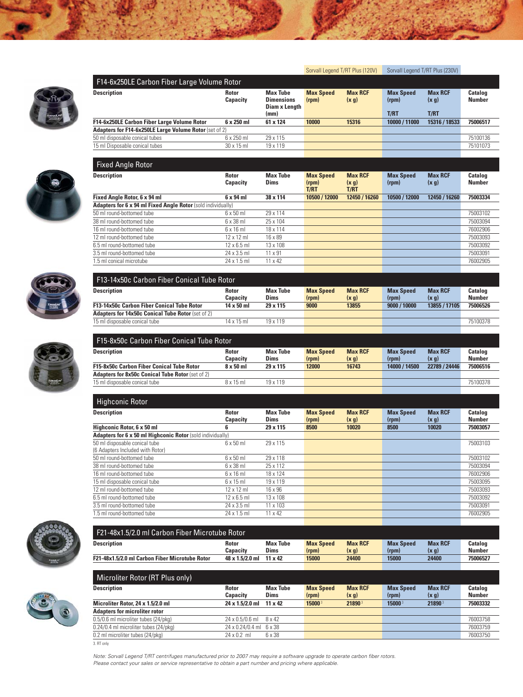







16 ml round-bottomed tube 12 x 12 ml 18 x 114 16 x 18 ml 16 x 18 ml 16 x 18 ml 16 x 18 ml 16 x 18 ml 16 x 18 m<br>17 ml round-bottomed tube 12 x 12 ml 16 x 89 175003093

6.5 ml round-bottomed tube 12 x 6.5 ml 13 x 108 75003092 12 x 108 75003092 3.5 ml round-bottomed tube 24 x 3.5 ml  $24 \times 3.5$  ml  $11 \times 91$  75003091 1.5 ml conical microtube 24 x 1.5 ml 11 x 42 76002905

 $\frac{12 \text{ ml round-bottomed tube}}{12 \times 12 \text{ ml}}$  16 x 89

| <b>F15-8x50c Carbon Fiber Conical Tube Rotor</b>        |                  |                 |                  |                |                  |                |               |
|---------------------------------------------------------|------------------|-----------------|------------------|----------------|------------------|----------------|---------------|
| Description                                             | <b>Rotor</b>     | <b>Max Tube</b> | <b>Max Speed</b> | <b>Max RCF</b> | <b>Max Speed</b> | <b>Max RCF</b> | Catalog       |
|                                                         | <b>Capacity</b>  | <b>Dims</b>     | (rpm)            | (x g)          | (rpm)            | (x, g)         | <b>Number</b> |
| <b>F15-8x50c Carbon Fiber Conical Tube Rotor</b>        | $8 \times 50$ ml | 29 x 115        | 12000            | 16743          | 14000 / 14500    | 22789 / 24446  | 75006516      |
| <b>Adapters for 8x50c Conical Tube Rotor (set of 2)</b> |                  |                 |                  |                |                  |                |               |
| 15 ml disposable conical tube                           | $8 \times 15$ ml | 19 x 119        |                  |                |                  |                | 75100378      |
|                                                         |                  |                 |                  |                |                  |                |               |

| Highconic Rotor                                            |                          |                                |                           |                          |                           |                         |                                 |
|------------------------------------------------------------|--------------------------|--------------------------------|---------------------------|--------------------------|---------------------------|-------------------------|---------------------------------|
| <b>Description</b>                                         | <b>Rotor</b><br>Capacity | <b>Max Tube</b><br><b>Dims</b> | <b>Max Speed</b><br>(rpm) | <b>Max RCF</b><br>(x, g) | <b>Max Speed</b><br>(rpm) | <b>Max RCF</b><br>(x g) | <b>Catalog</b><br><b>Number</b> |
| Highconic Rotor, 6 x 50 ml                                 | 6                        | 29 x 115                       | 8500                      | 10020                    | 8500                      | 10020                   | 75003057                        |
| Adapters for 6 x 50 ml Highconic Rotor (sold individually) |                          |                                |                           |                          |                           |                         |                                 |
| 50 ml disposable conical tube                              | $6 \times 50$ ml         | 29 x 115                       |                           |                          |                           |                         | 75003103                        |
| (6 Adapters Included with Rotor)                           |                          |                                |                           |                          |                           |                         |                                 |
| 50 ml round-bottomed tube                                  | $6 \times 50$ ml         | 29 x 118                       |                           |                          |                           |                         | 75003102                        |
| 38 ml round-bottomed tube                                  | $6 \times 38$ ml         | 25 x 112                       |                           |                          |                           |                         | 75003094                        |
| 16 ml round-bottomed tube                                  | $6 \times 16$ m          | 18 x 124                       |                           |                          |                           |                         | 76002906                        |
| 15 ml disposable conical tube                              | $6 \times 15$ ml         | 19 x 119                       |                           |                          |                           |                         | 75003095                        |
| 12 ml round-bottomed tube                                  | $12 \times 12$ ml        | 16 x 96                        |                           |                          |                           |                         | 75003093                        |
| 6.5 ml round-bottomed tube                                 | $12 \times 6.5$ ml       | 13 x 108                       |                           |                          |                           |                         | 75003092                        |
| 3.5 ml round-bottomed tube                                 | $24 \times 3.5$ ml       | 11 x 103                       |                           |                          |                           |                         | 75003091                        |
| 1.5 ml round-bottomed tube                                 | $24 \times 1.5$ ml       | $11 \times 42$                 |                           |                          |                           |                         | 76002905                        |
|                                                            |                          |                                |                           |                          |                           |                         |                                 |







| F21-48x1.5/2.0 ml Carbon Fiber Microtube Rotor        |                 |                 |                  |                |                  |                |                |
|-------------------------------------------------------|-----------------|-----------------|------------------|----------------|------------------|----------------|----------------|
| Description                                           | <b>Rotor</b>    | <b>Max Tube</b> | <b>Max Speed</b> | <b>Max RCF</b> | <b>Max Speed</b> | <b>Max RCF</b> | <b>Catalog</b> |
|                                                       | Capacity        | <b>Dims</b>     | (rpm)            | (x, g)         | (rpm)            | (x q)          | <b>Number</b>  |
| <b>F21-48x1.5/2.0 ml Carbon Fiber Microtube Rotor</b> | 48 x 1.5/2.0 ml | $11 \times 42$  | 15000            | 24400          | 15000            | 24400          | 75006527       |

| Microliter Rotor (RT Plus only)       |                                |                                |                           |                         |                           |                         |                                 |  |  |
|---------------------------------------|--------------------------------|--------------------------------|---------------------------|-------------------------|---------------------------|-------------------------|---------------------------------|--|--|
| <b>Description</b>                    | <b>Rotor</b><br>Capacity       | <b>Max Tube</b><br><b>Dims</b> | <b>Max Speed</b><br>(rpm) | <b>Max RCF</b><br>(x q) | <b>Max Speed</b><br>(rpm) | <b>Max RCF</b><br>(x q) | <b>Catalog</b><br><b>Number</b> |  |  |
| Microliter Rotor, 24 x 1.5/2.0 ml     | $24 \times 1.5/2.0$ ml 11 x 42 |                                | 15000 <sup>3</sup>        | 21890 <sup>3</sup>      | 150003                    | 21890 <sup>3</sup>      | 75003332                        |  |  |
| <b>Adapters for microliter rotor</b>  |                                |                                |                           |                         |                           |                         |                                 |  |  |
| 0.5/0.6 ml microliter tubes (24/pkg)  | $24 \times 0.5/0.6$ m 8 x 42   |                                |                           |                         |                           |                         | 76003758                        |  |  |
| 0.24/0.4 ml microliter tubes (24/pkg) | 24 x 0.24/0.4 ml 6 x 38        |                                |                           |                         |                           |                         | 76003759                        |  |  |
| 0.2 ml microliter tubes (24/pkg)      | $24 \times 0.2$ ml             | 6 x 38                         |                           |                         |                           |                         | 76003750                        |  |  |
| 3. RT only                            |                                |                                |                           |                         |                           |                         |                                 |  |  |

Note: Sorvall Legend T/RT centrifuges manufactured prior to 2007 may require a software upgrade to operate carbon fiber rotors. Please contact your sales or service representative to obtain a part number and pricing where applicable.